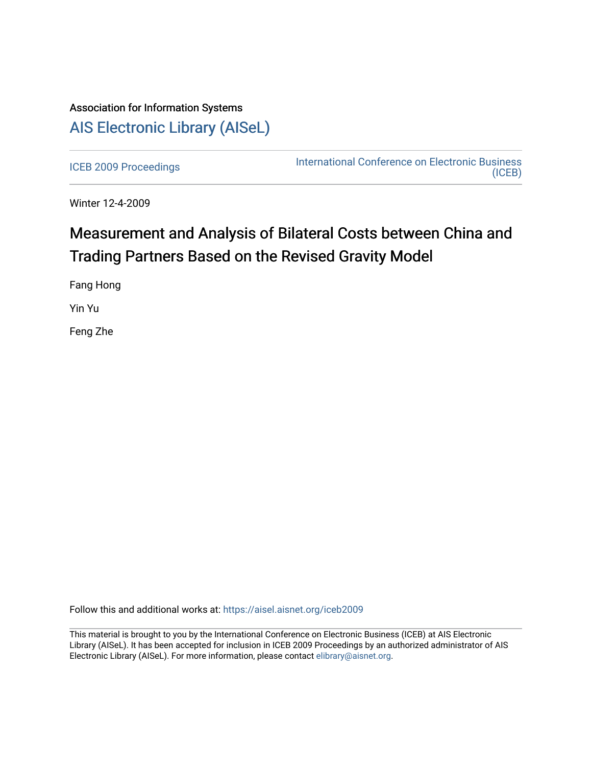## Association for Information Systems [AIS Electronic Library \(AISeL\)](https://aisel.aisnet.org/)

[ICEB 2009 Proceedings](https://aisel.aisnet.org/iceb2009) **International Conference on Electronic Business** [\(ICEB\)](https://aisel.aisnet.org/iceb) 

Winter 12-4-2009

# Measurement and Analysis of Bilateral Costs between China and Trading Partners Based on the Revised Gravity Model

Fang Hong

Yin Yu

Feng Zhe

Follow this and additional works at: [https://aisel.aisnet.org/iceb2009](https://aisel.aisnet.org/iceb2009?utm_source=aisel.aisnet.org%2Ficeb2009%2F99&utm_medium=PDF&utm_campaign=PDFCoverPages)

This material is brought to you by the International Conference on Electronic Business (ICEB) at AIS Electronic Library (AISeL). It has been accepted for inclusion in ICEB 2009 Proceedings by an authorized administrator of AIS Electronic Library (AISeL). For more information, please contact [elibrary@aisnet.org.](mailto:elibrary@aisnet.org%3E)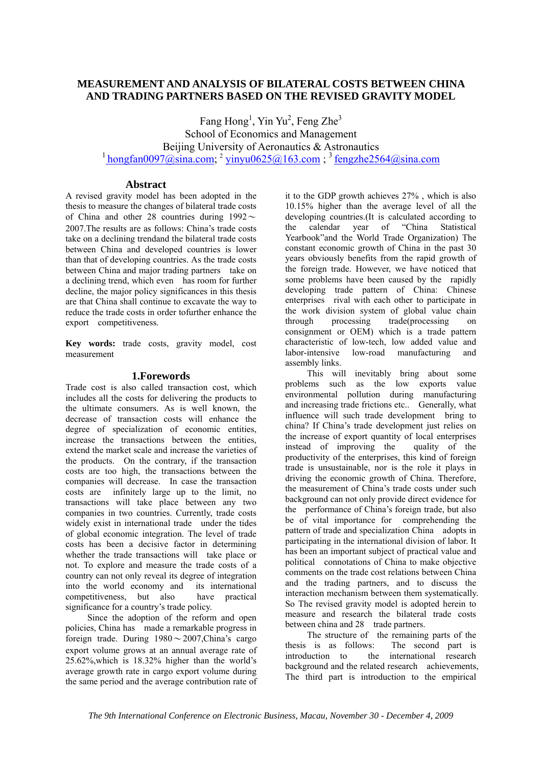## **MEASUREMENT AND ANALYSIS OF BILATERAL COSTS BETWEEN CHINA AND TRADING PARTNERS BASED ON THE REVISED GRAVITY MODEL**

Fang Hong<sup>1</sup>, Yin Yu<sup>2</sup>, Feng Zhe<sup>3</sup> School of Economics and Management Beijing University of Aeronautics & Astronautics  $1$  hongfan0097@sina.com;  $2$  yinyu0625@163.com;  $3$  fengzhe2564@sina.com

## **Abstract**

A revised gravity model has been adopted in the thesis to measure the changes of bilateral trade costs of China and other 28 countries during  $1992 \sim$ 2007.The results are as follows: China's trade costs take on a declining trendand the bilateral trade costs between China and developed countries is lower than that of developing countries. As the trade costs between China and major trading partners take on a declining trend, which even has room for further decline, the major policy significances in this thesis are that China shall continue to excavate the way to reduce the trade costs in order tofurther enhance the export competitiveness.

**Key words:** trade costs, gravity model, cost measurement

## **1.Forewords**

Trade cost is also called transaction cost, which includes all the costs for delivering the products to the ultimate consumers. As is well known, the decrease of transaction costs will enhance the degree of specialization of economic entities, increase the transactions between the entities, extend the market scale and increase the varieties of the products. On the contrary, if the transaction costs are too high, the transactions between the companies will decrease. In case the transaction costs are infinitely large up to the limit, no transactions will take place between any two companies in two countries. Currently, trade costs widely exist in international trade under the tides of global economic integration. The level of trade costs has been a decisive factor in determining whether the trade transactions will take place or not. To explore and measure the trade costs of a country can not only reveal its degree of integration into the world economy and its international competitiveness, but also have practical significance for a country's trade policy.

Since the adoption of the reform and open policies, China has made a remarkable progress in foreign trade. During  $1980 \sim 2007$ , China's cargo export volume grows at an annual average rate of 25.62%,which is 18.32% higher than the world's average growth rate in cargo export volume during the same period and the average contribution rate of it to the GDP growth achieves 27% , which is also 10.15% higher than the average level of all the developing countries.(It is calculated according to the calendar year of "China Statistical Yearbook"and the World Trade Organization) The constant economic growth of China in the past 30 years obviously benefits from the rapid growth of the foreign trade. However, we have noticed that some problems have been caused by the rapidly developing trade pattern of China: Chinese enterprises rival with each other to participate in the work division system of global value chain through processing trade(processing on consignment or OEM) which is a trade pattern characteristic of low-tech, low added value and labor-intensive low-road manufacturing and assembly links.

This will inevitably bring about some problems such as the low exports value environmental pollution during manufacturing and increasing trade frictions etc.. Generally, what influence will such trade development bring to china? If China's trade development just relies on the increase of export quantity of local enterprises instead of improving the quality of the productivity of the enterprises, this kind of foreign trade is unsustainable, nor is the role it plays in driving the economic growth of China. Therefore, the measurement of China's trade costs under such background can not only provide direct evidence for the performance of China's foreign trade, but also be of vital importance for comprehending the pattern of trade and specialization China adopts in participating in the international division of labor. It has been an important subject of practical value and political connotations of China to make objective comments on the trade cost relations between China and the trading partners, and to discuss the interaction mechanism between them systematically. So The revised gravity model is adopted herein to measure and research the bilateral trade costs between china and 28 trade partners.

The structure of the remaining parts of the thesis is as follows: The second part is introduction to the international research background and the related research achievements, The third part is introduction to the empirical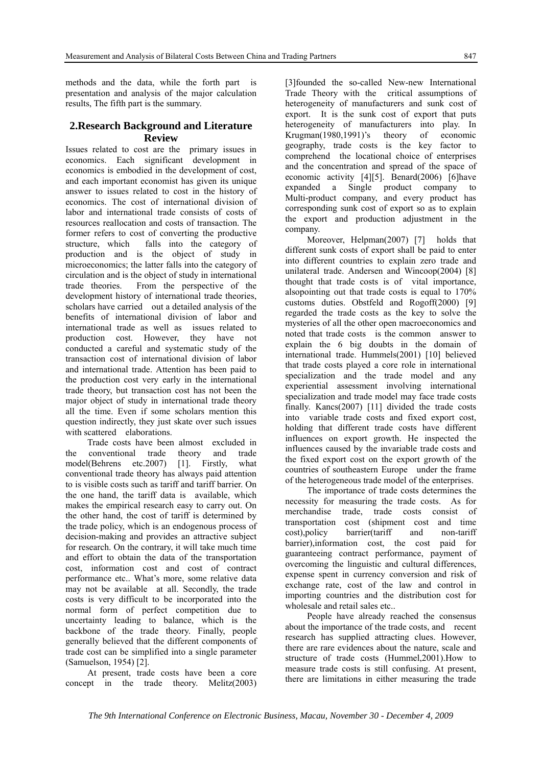methods and the data, while the forth part is presentation and analysis of the major calculation results, The fifth part is the summary.

## **2.Research Background and Literature Review**

Issues related to cost are the primary issues in economics. Each significant development in economics is embodied in the development of cost, and each important economist has given its unique answer to issues related to cost in the history of economics. The cost of international division of labor and international trade consists of costs of resources reallocation and costs of transaction. The former refers to cost of converting the productive structure, which falls into the category of production and is the object of study in microeconomics; the latter falls into the category of circulation and is the object of study in international trade theories. From the perspective of the development history of international trade theories, scholars have carried out a detailed analysis of the benefits of international division of labor and international trade as well as issues related to production cost. However, they have not conducted a careful and systematic study of the transaction cost of international division of labor and international trade. Attention has been paid to the production cost very early in the international trade theory, but transaction cost has not been the major object of study in international trade theory all the time. Even if some scholars mention this question indirectly, they just skate over such issues with scattered elaborations.

Trade costs have been almost excluded in the conventional trade theory and trade model(Behrens etc.2007) [1]. Firstly, what conventional trade theory has always paid attention to is visible costs such as tariff and tariff barrier. On the one hand, the tariff data is available, which makes the empirical research easy to carry out. On the other hand, the cost of tariff is determined by the trade policy, which is an endogenous process of decision-making and provides an attractive subject for research. On the contrary, it will take much time and effort to obtain the data of the transportation cost, information cost and cost of contract performance etc.. What's more, some relative data may not be available at all. Secondly, the trade costs is very difficult to be incorporated into the normal form of perfect competition due to uncertainty leading to balance, which is the backbone of the trade theory. Finally, people generally believed that the different components of trade cost can be simplified into a single parameter (Samuelson, 1954) [2].

At present, trade costs have been a core concept in the trade theory. Melitz(2003)

[3]founded the so-called New-new International Trade Theory with the critical assumptions of heterogeneity of manufacturers and sunk cost of export. It is the sunk cost of export that puts heterogeneity of manufacturers into play. In Krugman(1980,1991)'s theory of economic geography, trade costs is the key factor to comprehend the locational choice of enterprises and the concentration and spread of the space of economic activity [4][5]. Benard(2006) [6]have expanded a Single product company to Multi-product company, and every product has corresponding sunk cost of export so as to explain the export and production adjustment in the company.

Moreover, Helpman(2007) [7] holds that different sunk costs of export shall be paid to enter into different countries to explain zero trade and unilateral trade. Andersen and Wincoop(2004) [8] thought that trade costs is of vital importance, alsopointing out that trade costs is equal to 170% customs duties. Obstfeld and Rogoff(2000) [9] regarded the trade costs as the key to solve the mysteries of all the other open macroeconomics and noted that trade costs is the common answer to explain the 6 big doubts in the domain of international trade. Hummels(2001) [10] believed that trade costs played a core role in international specialization and the trade model and any experiential assessment involving international specialization and trade model may face trade costs finally. Kancs(2007) [11] divided the trade costs into variable trade costs and fixed export cost, holding that different trade costs have different influences on export growth. He inspected the influences caused by the invariable trade costs and the fixed export cost on the export growth of the countries of southeastern Europe under the frame of the heterogeneous trade model of the enterprises.

The importance of trade costs determines the necessity for measuring the trade costs. As for merchandise trade, trade costs consist of transportation cost (shipment cost and time cost),policy barrier(tariff and non-tariff barrier),information cost, the cost paid for guaranteeing contract performance, payment of overcoming the linguistic and cultural differences, expense spent in currency conversion and risk of exchange rate, cost of the law and control in importing countries and the distribution cost for wholesale and retail sales etc.

People have already reached the consensus about the importance of the trade costs, and recent research has supplied attracting clues. However, there are rare evidences about the nature, scale and structure of trade costs (Hummel,2001).How to measure trade costs is still confusing. At present, there are limitations in either measuring the trade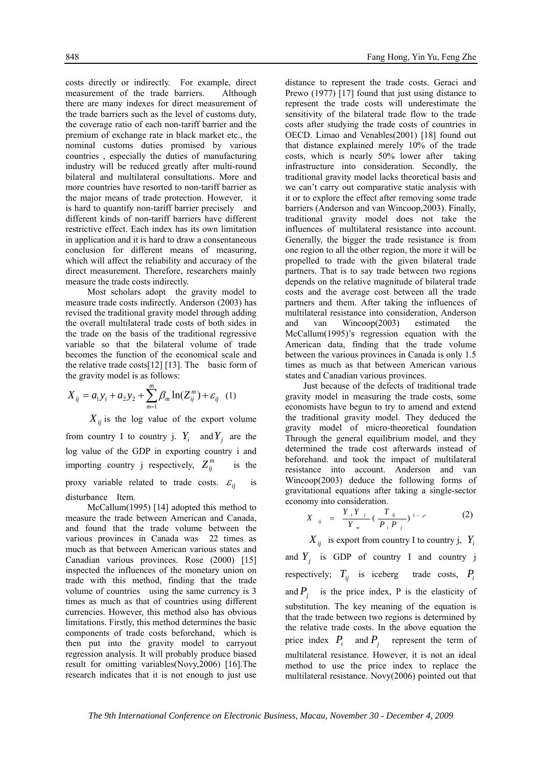costs directly or indirectly. For example, direct measurement of the trade barriers. Although there are many indexes for direct measurement of the trade barriers such as the level of customs duty, the coverage ratio of each non-tariff barrier and the premium of exchange rate in black market etc., the nominal customs duties promised by various countries , especially the duties of manufacturing industry will be reduced greatly after multi-round bilateral and multilateral consultations. More and more countries have resorted to non-tariff barrier as the major means of trade protection. However, it is hard to quantify non-tariff barrier precisely and different kinds of non-tariff barriers have different restrictive effect. Each index has its own limitation in application and it is hard to draw a consentaneous conclusion for different means of measuring, which will affect the reliability and accuracy of the direct measurement. Therefore, researchers mainly measure the trade costs indirectly.

Most scholars adopt the gravity model to measure trade costs indirectly. Anderson (2003) has revised the traditional gravity model through adding the overall multilateral trade costs of both sides in the trade on the basis of the traditional regressive variable so that the bilateral volume of trade becomes the function of the economical scale and the relative trade costs[12] [13]. The basic form of the gravity model is as follows:

$$
X_{ij} = a_1 y_i + a_2 y_2 + \sum_{m=1}^{m} \beta_m \ln(Z_{ij}^m) + \varepsilon_{ij} \quad (1)
$$

 $X_{ij}$  is the log value of the export volume from country I to country j.  $Y_i$  and  $Y_j$  are the log value of the GDP in exporting country i and importing country j respectively,  $Z_{ij}^m$  is the proxy variable related to trade costs.  $\varepsilon_{ii}$  is disturbance Item.

McCallum(1995) [14] adopted this method to measure the trade between American and Canada, and found that the trade volume between the various provinces in Canada was 22 times as much as that between American various states and Canadian various provinces. Rose (2000) [15] inspected the influences of the monetary union on trade with this method, finding that the trade volume of countries using the same currency is 3 times as much as that of countries using different currencies. However, this method also has obvious limitations. Firstly, this method determines the basic components of trade costs beforehand, which is then put into the gravity model to carryout regression analysis. It will probably produce biased result for omitting variables(Novy,2006) [16].The research indicates that it is not enough to just use

distance to represent the trade costs. Geraci and Prewo (1977) [17] found that just using distance to represent the trade costs will underestimate the sensitivity of the bilateral trade flow to the trade costs after studying the trade costs of countries in OECD. Limao and Venables(2001) [18] found out that distance explained merely 10% of the trade costs, which is nearly 50% lower after taking infrastructure into consideration. Secondly, the traditional gravity model lacks theoretical basis and we can't carry out comparative static analysis with it or to explore the effect after removing some trade barriers (Anderson and van Wincoop,2003). Finally, traditional gravity model does not take the influences of multilateral resistance into account. Generally, the bigger the trade resistance is from one region to all the other region, the more it will be propelled to trade with the given bilateral trade partners. That is to say trade between two regions depends on the relative magnitude of bilateral trade costs and the average cost between all the trade partners and them. After taking the influences of multilateral resistance into consideration, Anderson and van Wincoop(2003) estimated the McCallum(1995)'s regression equation with the American data, finding that the trade volume between the various provinces in Canada is only 1.5 times as much as that between American various states and Canadian various provinces.

Just because of the defects of traditional trade gravity model in measuring the trade costs, some economists have begun to try to amend and extend the traditional gravity model. They deduced the gravity model of micro-theoretical foundation Through the general equilibrium model, and they determined the trade cost afterwards instead of beforehand. and took the impact of multilateral resistance into account. Anderson and van Wincoop(2003) deduce the following forms of gravitational equations after taking a single-sector economy into consideration.

$$
X_{ij} = \frac{Y_i Y_j}{Y_w} (\frac{T_{ij}}{P_i P_j})^{1-\rho}
$$
 (2)

 $X_{ii}$  is export from country I to country j,  $Y_i$ 

and  $Y_i$  is GDP of country I and country j respectively;  $T_{ij}$  is iceberg trade costs,  $P_i$ and  $P_i$  is the price index, P is the elasticity of substitution. The key meaning of the equation is that the trade between two regions is determined by the relative trade costs. In the above equation the price index  $P_i$  and  $P_j$  represent the term of multilateral resistance. However, it is not an ideal method to use the price index to replace the multilateral resistance. Novy(2006) pointed out that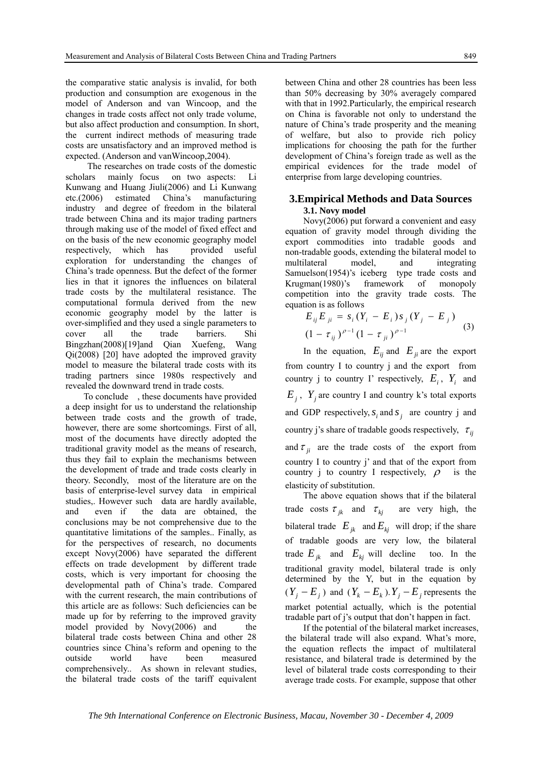the comparative static analysis is invalid, for both production and consumption are exogenous in the model of Anderson and van Wincoop, and the changes in trade costs affect not only trade volume, but also affect production and consumption. In short, the current indirect methods of measuring trade costs are unsatisfactory and an improved method is expected. (Anderson and vanWincoop,2004).

The researches on trade costs of the domestic scholars mainly focus on two aspects: Li Kunwang and Huang Jiuli(2006) and Li Kunwang etc.(2006) estimated China's manufacturing industry and degree of freedom in the bilateral trade between China and its major trading partners through making use of the model of fixed effect and on the basis of the new economic geography model respectively, which has provided useful exploration for understanding the changes of China's trade openness. But the defect of the former lies in that it ignores the influences on bilateral trade costs by the multilateral resistance. The computational formula derived from the new economic geography model by the latter is over-simplified and they used a single parameters to cover all the trade barriers. Shi Bingzhan(2008)[19]and Qian Xuefeng, Wang Qi(2008) [20] have adopted the improved gravity model to measure the bilateral trade costs with its trading partners since 1980s respectively and revealed the downward trend in trade costs.

To conclude , these documents have provided a deep insight for us to understand the relationship between trade costs and the growth of trade, however, there are some shortcomings. First of all, most of the documents have directly adopted the traditional gravity model as the means of research, thus they fail to explain the mechanisms between the development of trade and trade costs clearly in theory. Secondly, most of the literature are on the basis of enterprise-level survey data in empirical studies,. However such data are hardly available, and even if the data are obtained, the conclusions may be not comprehensive due to the quantitative limitations of the samples.. Finally, as for the perspectives of research, no documents except Novy(2006) have separated the different effects on trade development by different trade costs, which is very important for choosing the developmental path of China's trade. Compared with the current research, the main contributions of this article are as follows: Such deficiencies can be made up for by referring to the improved gravity model provided by Novy(2006) and the bilateral trade costs between China and other 28 countries since China's reform and opening to the outside world have been measured comprehensively.. As shown in relevant studies, the bilateral trade costs of the tariff equivalent

between China and other 28 countries has been less than 50% decreasing by 30% averagely compared with that in 1992.Particularly, the empirical research on China is favorable not only to understand the nature of China's trade prosperity and the meaning of welfare, but also to provide rich policy implications for choosing the path for the further development of China's foreign trade as well as the empirical evidences for the trade model of enterprise from large developing countries.

#### **3.Empirical Methods and Data Sources 3.1. Novy model**

Novy(2006) put forward a convenient and easy equation of gravity model through dividing the export commodities into tradable goods and non-tradable goods, extending the bilateral model to multilateral model, and integrating Samuelson(1954)'s iceberg type trade costs and Krugman(1980)'s framework of monopoly competition into the gravity trade costs. The equation is as follows

$$
E_{ij}E_{ji} = s_i(Y_i - E_i)s_j(Y_j - E_j)
$$
  

$$
(1 - \tau_{ij})^{\rho - 1}(1 - \tau_{ji})^{\rho - 1}
$$
 (3)

In the equation,  $E_{ij}$  and  $E_{ji}$  are the export from country I to country j and the export from country j to country I' respectively,  $E_i$ ,  $Y_i$  and  $E_i$ ,  $Y_i$  are country I and country k's total exports and GDP respectively,  $s_i$  and  $s_j$  are country j and country j's share of tradable goods respectively,  $\tau_{ij}$ and  $\tau_{ii}$  are the trade costs of the export from country I to country j' and that of the export from country j to country I respectively,  $\rho$  is the elasticity of substitution.

The above equation shows that if the bilateral trade costs  $\tau_{ik}$  and  $\tau_{ki}$  are very high, the bilateral trade  $E_{ik}$  and  $E_{ki}$  will drop; if the share of tradable goods are very low, the bilateral trade  $E_{ik}$  and  $E_{ki}$  will decline too. In the traditional gravity model, bilateral trade is only determined by the Y, but in the equation by  $(Y_i - E_j)$  and  $(Y_k - E_k)$ .  $Y_i - E_j$  represents the market potential actually, which is the potential tradable part of j's output that don't happen in fact.

If the potential of the bilateral market increases, the bilateral trade will also expand. What's more, the equation reflects the impact of multilateral resistance, and bilateral trade is determined by the level of bilateral trade costs corresponding to their average trade costs. For example, suppose that other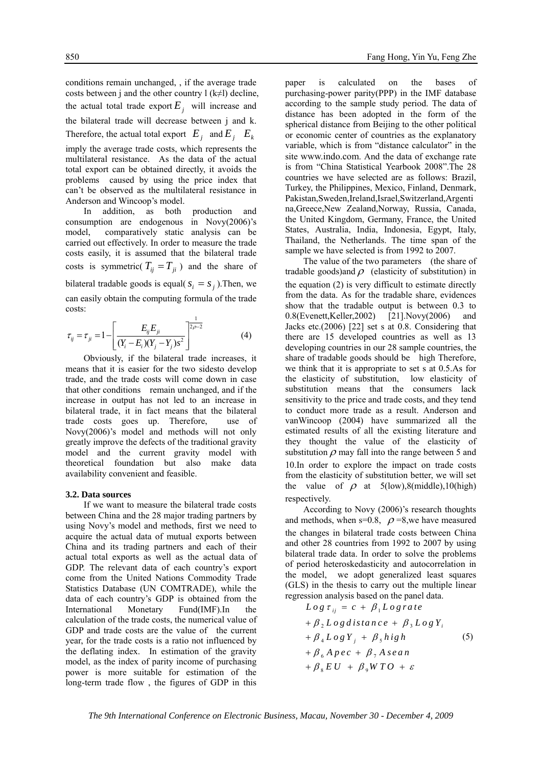conditions remain unchanged, , if the average trade costs between j and the other country  $l$  (k≠l) decline, the actual total trade export  $E_i$  will increase and the bilateral trade will decrease between j and k. Therefore, the actual total export  $E_i$  and  $E_i$   $E_k$ imply the average trade costs, which represents the multilateral resistance. As the data of the actual total export can be obtained directly, it avoids the problems caused by using the price index that can't be observed as the multilateral resistance in Anderson and Wincoop's model.

In addition, as both production and consumption are endogenous in Novy(2006)'s model, comparatively static analysis can be carried out effectively. In order to measure the trade costs easily, it is assumed that the bilateral trade costs is symmetric( $T_{ij} = T_{ji}$ ) and the share of bilateral tradable goods is equal( $s_i = s_j$ ). Then, we can easily obtain the computing formula of the trade costs:

$$
\tau_{ij} = \tau_{ji} = 1 - \left[ \frac{E_{ij} E_{ji}}{(Y_i - E_i)(Y_j - Y_j)s^2} \right]^{2p-2}
$$
 (4)

Obviously, if the bilateral trade increases, it means that it is easier for the two sidesto develop trade, and the trade costs will come down in case that other conditions remain unchanged, and if the increase in output has not led to an increase in bilateral trade, it in fact means that the bilateral trade costs goes up. Therefore, use of Novy(2006)'s model and methods will not only greatly improve the defects of the traditional gravity model and the current gravity model with theoretical foundation but also make data availability convenient and feasible.

#### **3.2. Data sources**

If we want to measure the bilateral trade costs between China and the 28 major trading partners by using Novy's model and methods, first we need to acquire the actual data of mutual exports between China and its trading partners and each of their actual total exports as well as the actual data of GDP. The relevant data of each country's export come from the United Nations Commodity Trade Statistics Database (UN COMTRADE), while the data of each country's GDP is obtained from the International Monetary Fund(IMF).In the calculation of the trade costs, the numerical value of GDP and trade costs are the value of the current year, for the trade costs is a ratio not influenced by the deflating index. In estimation of the gravity model, as the index of parity income of purchasing power is more suitable for estimation of the long-term trade flow , the figures of GDP in this

paper is calculated on the bases of purchasing-power parity(PPP) in the IMF database according to the sample study period. The data of distance has been adopted in the form of the spherical distance from Beijing to the other political or economic center of countries as the explanatory variable, which is from "distance calculator" in the site www.indo.com. And the data of exchange rate is from "China Statistical Yearbook 2008".The 28 countries we have selected are as follows: Brazil, Turkey, the Philippines, Mexico, Finland, Denmark, Pakistan,Sweden,Ireland,Israel,Switzerland,Argenti na,Greece,New Zealand,Norway, Russia, Canada, the United Kingdom, Germany, France, the United States, Australia, India, Indonesia, Egypt, Italy, Thailand, the Netherlands. The time span of the sample we have selected is from 1992 to 2007.

The value of the two parameters (the share of tradable goods)and  $\rho$  (elasticity of substitution) in the equation (2) is very difficult to estimate directly from the data. As for the tradable share, evidences show that the tradable output is between 0.3 to 0.8(Evenett,Keller,2002) [21].Novy(2006) and Jacks etc.(2006) [22] set s at 0.8. Considering that there are 15 developed countries as well as 13 developing countries in our 28 sample countries, the share of tradable goods should be high Therefore, we think that it is appropriate to set s at 0.5.As for the elasticity of substitution, low elasticity of substitution means that the consumers lack sensitivity to the price and trade costs, and they tend to conduct more trade as a result. Anderson and vanWincoop (2004) have summarized all the estimated results of all the existing literature and they thought the value of the elasticity of substitution  $\rho$  may fall into the range between 5 and 10.In order to explore the impact on trade costs from the elasticity of substitution better, we will set the value of  $\rho$  at 5(low),8(middle),10(high) respectively.

According to Novy (2006)'s research thoughts and methods, when s=0.8,  $\rho$  =8, we have measured the changes in bilateral trade costs between China and other 28 countries from 1992 to 2007 by using bilateral trade data. In order to solve the problems of period heteroskedasticity and autocorrelation in the model, we adopt generalized least squares (GLS) in the thesis to carry out the multiple linear regression analysis based on the panel data.

$$
Log \tau_{ij} = c + \beta_1 Log rate
$$
  
+  $\beta_2 Log distance + \beta_3 Log Y_i$   
+  $\beta_4 Log Y_j + \beta_5 high$  (5)  
+  $\beta_6 Age c + \beta_7 Asean$   
+  $\beta_8 EU + \beta_9 WTO + \varepsilon$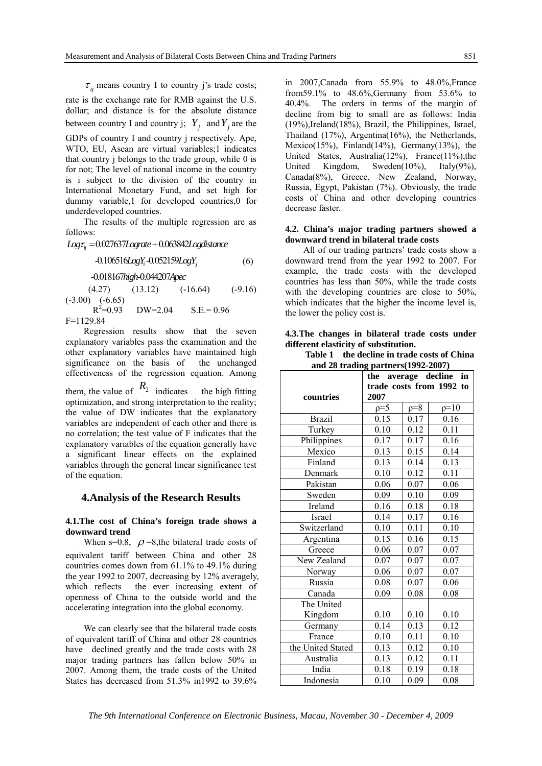$\tau_{ii}$  means country I to country j's trade costs;

rate is the exchange rate for RMB against the U.S. dollar; and distance is for the absolute distance between country I and country j;  $Y_i$  and  $Y_j$  are the

GDPs of country I and country j respectively. Ape, WTO, EU, Asean are virtual variables;1 indicates that country j belongs to the trade group, while 0 is for not; The level of national income in the country is i subject to the division of the country in International Monetary Fund, and set high for dummy variable,1 for developed countries,0 for underdeveloped countries.

The results of the multiple regression are as follows:

Logτ<sub>ij</sub> =0.027637Lograte +0.063842Logdistance

$$
-0.106516LogY_i - 0.052159LogY_j \tag{6}
$$

-0.018167 -0.044207 *high Apec*

 $(4.27)$   $(13.12)$   $(-16.64)$   $(-9.16)$  $(-3.00)$   $(-6.65)$  $R^2 = 0.93$  $DW=2.04$   $S.E.= 0.96$ 

F=1129.84

Regression results show that the seven explanatory variables pass the examination and the other explanatory variables have maintained high significance on the basis of the unchanged effectiveness of the regression equation. Among them, the value of  $R_2$  indicates the high fitting optimization, and strong interpretation to the reality; the value of DW indicates that the explanatory variables are independent of each other and there is no correlation; the test value of F indicates that the explanatory variables of the equation generally have a significant linear effects on the explained variables through the general linear significance test of the equation.

#### **4.Analysis of the Research Results**

#### **4.1.The cost of China's foreign trade shows a downward trend**

When s=0.8,  $\rho$ =8,the bilateral trade costs of equivalent tariff between China and other 28 countries comes down from 61.1% to 49.1% during the year 1992 to 2007, decreasing by 12% averagely, which reflects the ever increasing extent of openness of China to the outside world and the accelerating integration into the global economy.

We can clearly see that the bilateral trade costs of equivalent tariff of China and other 28 countries have declined greatly and the trade costs with 28 major trading partners has fallen below 50% in 2007. Among them, the trade costs of the United States has decreased from 51.3% in1992 to 39.6%

in 2007,Canada from 55.9% to 48.0%,France from59.1% to 48.6%,Germany from 53.6% to 40.4%. The orders in terms of the margin of decline from big to small are as follows: India (19%),Ireland(18%), Brazil, the Philippines, Israel, Thailand (17%), Argentina(16%), the Netherlands, Mexico(15%), Finland(14%), Germany(13%), the United States, Australia(12%), France(11%),the United Kingdom, Sweden(10%), Italy(9%), Canada(8%), Greece, New Zealand, Norway, Russia, Egypt, Pakistan (7%). Obviously, the trade costs of China and other developing countries decrease faster.

#### **4.2. China's major trading partners showed a downward trend in bilateral trade costs**

All of our trading partners' trade costs show a downward trend from the year 1992 to 2007. For example, the trade costs with the developed countries has less than 50%, while the trade costs with the developing countries are close to 50%, which indicates that the higher the income level is, the lower the policy cost is.

#### **4.3.The changes in bilateral trade costs under different elasticity of substitution.**

**Table 1 the decline in trade costs of China and 28 trading partners(1992-2007)** 

|                   | ----,<br>the average decline in |       |        |
|-------------------|---------------------------------|-------|--------|
|                   | trade costs from 1992 to        |       |        |
| countries         | 2007                            |       |        |
|                   | $p=5$                           | $p=8$ | $p=10$ |
| <b>Brazil</b>     | 0.15                            | 0.17  | 0.16   |
| Turkey            | 0.10                            | 0.12  | 0.11   |
| Philippines       | 0.17                            | 0.17  | 0.16   |
| Mexico            | 0.13                            | 0.15  | 0.14   |
| Finland           | 0.13                            | 0.14  | 0.13   |
| Denmark           | 0.10                            | 0.12  | 0.11   |
| Pakistan          | 0.06                            | 0.07  | 0.06   |
| Sweden            | 0.09                            | 0.10  | 0.09   |
| Ireland           | 0.16                            | 0.18  | 0.18   |
| Israel            | 0.14                            | 0.17  | 0.16   |
| Switzerland       | 0.10                            | 0.11  | 0.10   |
| Argentina         | 0.15                            | 0.16  | 0.15   |
| Greece            | 0.06                            | 0.07  | 0.07   |
| New Zealand       | 0.07                            | 0.07  | 0.07   |
| Norway            | 0.06                            | 0.07  | 0.07   |
| Russia            | 0.08                            | 0.07  | 0.06   |
| Canada            | 0.09                            | 0.08  | 0.08   |
| The United        |                                 |       |        |
| Kingdom           | 0.10                            | 0.10  | 0.10   |
| Germany           | 0.14                            | 0.13  | 0.12   |
| France            | 0.10                            | 0.11  | 0.10   |
| the United Stated | 0.13                            | 0.12  | 0.10   |
| Australia         | 0.13                            | 0.12  | 0.11   |
| India             | 0.18                            | 0.19  | 0.18   |
| Indonesia         | 0.10                            | 0.09  | 0.08   |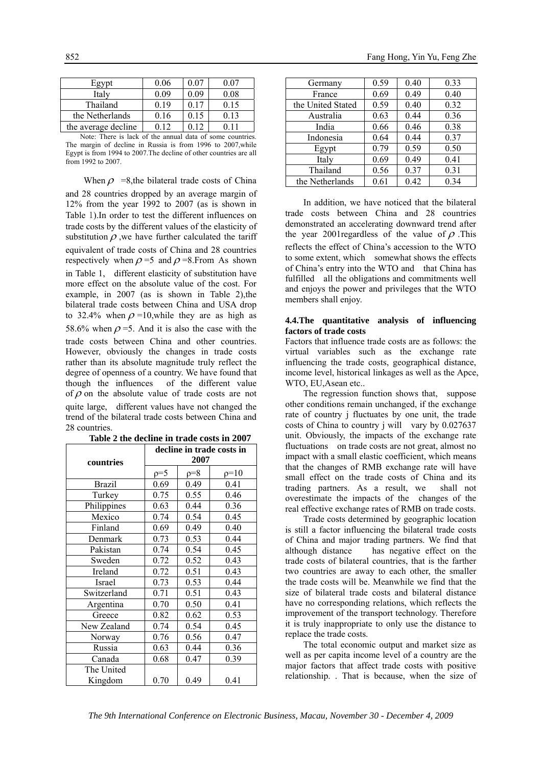| Egypt               | 0.06 | 0 07 | 0 07 |
|---------------------|------|------|------|
| Italy               | 0 09 | 10G  | 0.08 |
| Thailand            | 0 19 | 0.17 | 0.15 |
| the Netherlands     | 0.16 | 0.15 | 0.13 |
| the average decline |      |      |      |

Note: There is lack of the annual data of some countries. The margin of decline in Russia is from 1996 to 2007,while Egypt is from 1994 to 2007.The decline of other countries are all from 1992 to 2007.

When  $\rho$  =8, the bilateral trade costs of China and 28 countries dropped by an average margin of 12% from the year 1992 to 2007 (as is shown in Table 1).In order to test the different influences on trade costs by the different values of the elasticity of substitution  $\rho$ , we have further calculated the tariff equivalent of trade costs of China and 28 countries respectively when  $\rho = 5$  and  $\rho = 8$ . From As shown in Table 1, different elasticity of substitution have more effect on the absolute value of the cost. For example, in 2007 (as is shown in Table 2), the bilateral trade costs between China and USA drop to 32.4% when  $\rho = 10$ , while they are as high as 58.6% when  $\rho$  =5. And it is also the case with the trade costs between China and other countries. However, obviously the changes in trade costs rather than its absolute magnitude truly reflect the degree of openness of a country. We have found that though the influences of the different value of  $\rho$  on the absolute value of trade costs are not quite large, different values have not changed the trend of the bilateral trade costs between China and 28 countries.

| countries     | decline in trade costs in<br>2007 |       |        |
|---------------|-----------------------------------|-------|--------|
|               | $p=5$                             | $p=8$ | $p=10$ |
| <b>Brazil</b> | 0.69                              | 0.49  | 0.41   |
| Turkey        | 0.75                              | 0.55  | 0.46   |
| Philippines   | 0.63                              | 0.44  | 0.36   |
| Mexico        | 0.74                              | 0.54  | 0.45   |
| Finland       | 0.69                              | 0.49  | 0.40   |
| Denmark       | 0.73                              | 0.53  | 0.44   |
| Pakistan      | 0.74                              | 0.54  | 0.45   |
| Sweden        | 0.72                              | 0.52  | 0.43   |
| Ireland       | 0.72                              | 0.51  | 0.43   |
| Israel        | 0.73                              | 0.53  | 0.44   |
| Switzerland   | 0.71                              | 0.51  | 0.43   |
| Argentina     | 0.70                              | 0.50  | 0.41   |
| Greece        | 0.82                              | 0.62  | 0.53   |
| New Zealand   | 0.74                              | 0.54  | 0.45   |
| Norway        | 0.76                              | 0.56  | 0.47   |
| Russia        | 0.63                              | 0.44  | 0.36   |
| Canada        | 0.68                              | 0.47  | 0.39   |
| The United    |                                   |       |        |
| Kingdom       | 0.70                              | 0.49  | 0.41   |

**Table 2 the decline in trade costs in 2007**

| Germany           | 0.59 | 0.40 | 0.33 |
|-------------------|------|------|------|
| France            | 0.69 | 0.49 | 0.40 |
| the United Stated | 0.59 | 0.40 | 0.32 |
| Australia         | 0.63 | 0.44 | 0.36 |
| India             | 0.66 | 0.46 | 0.38 |
| Indonesia         | 0.64 | 0.44 | 0.37 |
| Egypt             | 0.79 | 0.59 | 0.50 |
| Italy             | 0.69 | 0.49 | 0.41 |
| Thailand          | 0.56 | 0.37 | 0.31 |
| the Netherlands   | 0.61 | 0.42 | 0.34 |

In addition, we have noticed that the bilateral trade costs between China and 28 countries demonstrated an accelerating downward trend after the year 2001 regardless of the value of  $\rho$ . This reflects the effect of China's accession to the WTO to some extent, which somewhat shows the effects of China's entry into the WTO and that China has fulfilled all the obligations and commitments well and enjoys the power and privileges that the WTO members shall enjoy.

#### **4.4.The quantitative analysis of influencing factors of trade costs**

Factors that influence trade costs are as follows: the virtual variables such as the exchange rate influencing the trade costs, geographical distance, income level, historical linkages as well as the Apce, WTO, EU,Asean etc..

The regression function shows that, suppose other conditions remain unchanged, if the exchange rate of country j fluctuates by one unit, the trade costs of China to country j will vary by 0.027637 unit. Obviously, the impacts of the exchange rate fluctuations on trade costs are not great, almost no impact with a small elastic coefficient, which means that the changes of RMB exchange rate will have small effect on the trade costs of China and its trading partners. As a result, we shall not overestimate the impacts of the changes of the real effective exchange rates of RMB on trade costs.

Trade costs determined by geographic location is still a factor influencing the bilateral trade costs of China and major trading partners. We find that although distance has negative effect on the trade costs of bilateral countries, that is the farther two countries are away to each other, the smaller the trade costs will be. Meanwhile we find that the size of bilateral trade costs and bilateral distance have no corresponding relations, which reflects the improvement of the transport technology. Therefore it is truly inappropriate to only use the distance to replace the trade costs.

The total economic output and market size as well as per capita income level of a country are the major factors that affect trade costs with positive relationship. . That is because, when the size of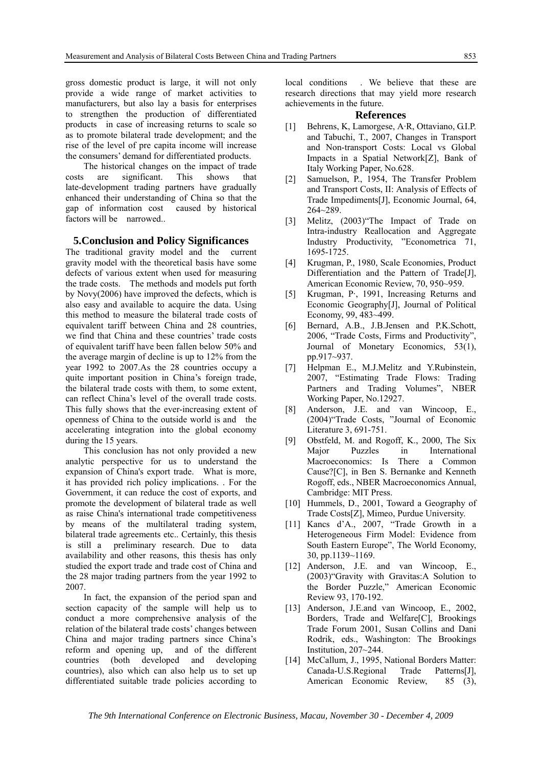gross domestic product is large, it will not only provide a wide range of market activities to manufacturers, but also lay a basis for enterprises to strengthen the production of differentiated products in case of increasing returns to scale so as to promote bilateral trade development; and the rise of the level of pre capita income will increase the consumers' demand for differentiated products.

The historical changes on the impact of trade costs are significant. This shows that late-development trading partners have gradually enhanced their understanding of China so that the gap of information cost caused by historical factors will be narrowed..

#### **5.Conclusion and Policy Significances**

The traditional gravity model and the current gravity model with the theoretical basis have some defects of various extent when used for measuring the trade costs. The methods and models put forth by Novy(2006) have improved the defects, which is also easy and available to acquire the data. Using this method to measure the bilateral trade costs of equivalent tariff between China and 28 countries, we find that China and these countries' trade costs of equivalent tariff have been fallen below 50% and the average margin of decline is up to 12% from the year 1992 to 2007.As the 28 countries occupy a quite important position in China's foreign trade, the bilateral trade costs with them, to some extent, can reflect China's level of the overall trade costs. This fully shows that the ever-increasing extent of openness of China to the outside world is and the accelerating integration into the global economy during the 15 years.

This conclusion has not only provided a new analytic perspective for us to understand the expansion of China's export trade. What is more, it has provided rich policy implications. . For the Government, it can reduce the cost of exports, and promote the development of bilateral trade as well as raise China's international trade competitiveness by means of the multilateral trading system, bilateral trade agreements etc.. Certainly, this thesis is still a preliminary research. Due to data availability and other reasons, this thesis has only studied the export trade and trade cost of China and the 28 major trading partners from the year 1992 to 2007.

In fact, the expansion of the period span and section capacity of the sample will help us to conduct a more comprehensive analysis of the relation of the bilateral trade costs' changes between China and major trading partners since China's reform and opening up, and of the different countries (both developed and developing countries), also which can also help us to set up differentiated suitable trade policies according to

local conditions . We believe that these are research directions that may yield more research achievements in the future.

#### **References**

- [1] Behrens, K, Lamorgese, A·R, Ottaviano, G.I.P. and Tabuchi, T., 2007, Changes in Transport and Non-transport Costs: Local vs Global Impacts in a Spatial Network[Z], Bank of Italy Working Paper, No.628.
- [2] Samuelson, P., 1954, The Transfer Problem and Transport Costs, II: Analysis of Effects of Trade Impediments[J], Economic Journal, 64, 264~289.
- [3] Melitz,  $(2003)$  The Impact of Trade on Intra-industry Reallocation and Aggregate Industry Productivity, "Econometrica 71, 1695-1725.
- [4] Krugman, P., 1980, Scale Economies, Product Differentiation and the Pattern of Trade[J], American Economic Review, 70, 950~959.
- [5] Krugman, P·, 1991, Increasing Returns and Economic Geography[J], Journal of Political Economy, 99, 483~499.
- [6] Bernard, A.B., J.B.Jensen and P.K.Schott, 2006, "Trade Costs, Firms and Productivity", Journal of Monetary Economics, 53(1), pp.917~937.
- [7] Helpman E., M.J.Melitz and Y.Rubinstein, 2007, "Estimating Trade Flows: Trading Partners and Trading Volumes", NBER Working Paper, No.12927.
- [8] Anderson, J.E. and van Wincoop, E., (2004)"Trade Costs, "Journal of Economic Literature 3, 691-751.
- [9] Obstfeld, M. and Rogoff, K., 2000, The Six Major Puzzles in International Macroeconomics: Is There a Common Cause?[C], in Ben S. Bernanke and Kenneth Rogoff, eds., NBER Macroeconomics Annual, Cambridge: MIT Press.
- [10] Hummels, D., 2001, Toward a Geography of Trade Costs[Z], Mimeo, Purdue University.
- [11] Kancs d'A., 2007, "Trade Growth in a Heterogeneous Firm Model: Evidence from South Eastern Europe", The World Economy, 30, pp.1139~1169.
- [12] Anderson, J.E. and van Wincoop, E., (2003)"Gravity with Gravitas:A Solution to the Border Puzzle," American Economic Review 93, 170-192.
- [13] Anderson, J.E.and van Wincoop, E., 2002, Borders, Trade and Welfare[C], Brookings Trade Forum 2001, Susan Collins and Dani Rodrik, eds., Washington: The Brookings Institution, 207~244.
- [14] McCallum, J., 1995, National Borders Matter: Canada-U.S.Regional Trade Patterns[J], American Economic Review, 85 (3),